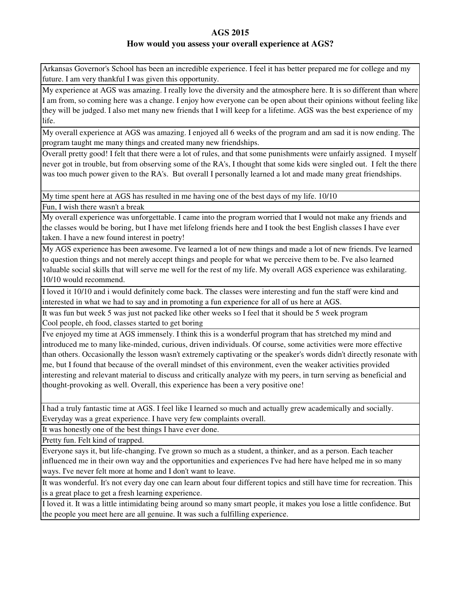### **How would you assess your overall experience at AGS?**

Arkansas Governor's School has been an incredible experience. I feel it has better prepared me for college and my future. I am very thankful I was given this opportunity.

My experience at AGS was amazing. I really love the diversity and the atmosphere here. It is so different than where I am from, so coming here was a change. I enjoy how everyone can be open about their opinions without feeling like they will be judged. I also met many new friends that I will keep for a lifetime. AGS was the best experience of my life.

My overall experience at AGS was amazing. I enjoyed all 6 weeks of the program and am sad it is now ending. The program taught me many things and created many new friendships.

Overall pretty good! I felt that there were a lot of rules, and that some punishments were unfairly assigned. I myself never got in trouble, but from observing some of the RA's, I thought that some kids were singled out. I felt the there was too much power given to the RA's. But overall I personally learned a lot and made many great friendships.

My time spent here at AGS has resulted in me having one of the best days of my life. 10/10

Fun, I wish there wasn't a break

My overall experience was unforgettable. I came into the program worried that I would not make any friends and the classes would be boring, but I have met lifelong friends here and I took the best English classes I have ever taken. I have a new found interest in poetry!

My AGS experience has been awesome. I've learned a lot of new things and made a lot of new friends. I've learned to question things and not merely accept things and people for what we perceive them to be. I've also learned valuable social skills that will serve me well for the rest of my life. My overall AGS experience was exhilarating. 10/10 would recommend.

I loved it 10/10 and i would definitely come back. The classes were interesting and fun the staff were kind and interested in what we had to say and in promoting a fun experience for all of us here at AGS.

It was fun but week 5 was just not packed like other weeks so I feel that it should be 5 week program Cool people, eh food, classes started to get boring

I've enjoyed my time at AGS immensely. I think this is a wonderful program that has stretched my mind and introduced me to many like-minded, curious, driven individuals. Of course, some activities were more effective than others. Occasionally the lesson wasn't extremely captivating or the speaker's words didn't directly resonate with me, but I found that because of the overall mindset of this environment, even the weaker activities provided interesting and relevant material to discuss and critically analyze with my peers, in turn serving as beneficial and thought-provoking as well. Overall, this experience has been a very positive one!

I had a truly fantastic time at AGS. I feel like I learned so much and actually grew academically and socially. Everyday was a great experience. I have very few complaints overall.

It was honestly one of the best things I have ever done.

Pretty fun. Felt kind of trapped.

Everyone says it, but life-changing. I've grown so much as a student, a thinker, and as a person. Each teacher influenced me in their own way and the opportunities and experiences I've had here have helped me in so many ways. I've never felt more at home and I don't want to leave.

It was wonderful. It's not every day one can learn about four different topics and still have time for recreation. This is a great place to get a fresh learning experience.

I loved it. It was a little intimidating being around so many smart people, it makes you lose a little confidence. But the people you meet here are all genuine. It was such a fulfilling experience.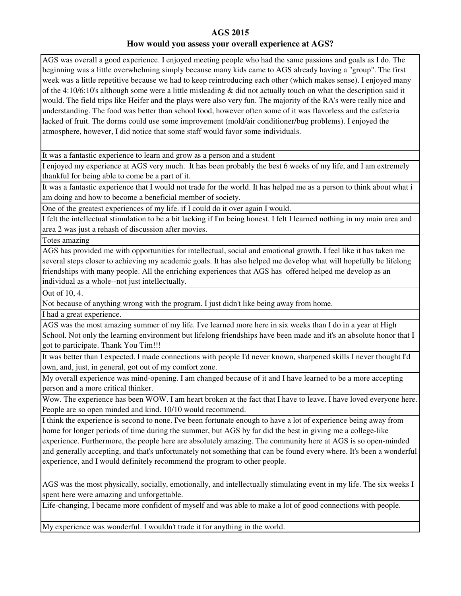AGS was overall a good experience. I enjoyed meeting people who had the same passions and goals as I do. The beginning was a little overwhelming simply because many kids came to AGS already having a "group". The first week was a little repetitive because we had to keep reintroducing each other (which makes sense). I enjoyed many of the 4:10/6:10's although some were a little misleading & did not actually touch on what the description said it would. The field trips like Heifer and the plays were also very fun. The majority of the RA's were really nice and understanding. The food was better than school food, however often some of it was flavorless and the cafeteria lacked of fruit. The dorms could use some improvement (mold/air conditioner/bug problems). I enjoyed the atmosphere, however, I did notice that some staff would favor some individuals.

It was a fantastic experience to learn and grow as a person and a student

I enjoyed my experience at AGS very much. It has been probably the best 6 weeks of my life, and I am extremely thankful for being able to come be a part of it.

It was a fantastic experience that I would not trade for the world. It has helped me as a person to think about what i am doing and how to become a beneficial member of society.

One of the greatest experiences of my life. if I could do it over again I would.

I felt the intellectual stimulation to be a bit lacking if I'm being honest. I felt I learned nothing in my main area and area 2 was just a rehash of discussion after movies.

Totes amazing

AGS has provided me with opportunities for intellectual, social and emotional growth. I feel like it has taken me several steps closer to achieving my academic goals. It has also helped me develop what will hopefully be lifelong friendships with many people. All the enriching experiences that AGS has offered helped me develop as an individual as a whole--not just intellectually.

Out of 10, 4.

Not because of anything wrong with the program. I just didn't like being away from home.

I had a great experience.

AGS was the most amazing summer of my life. I've learned more here in six weeks than I do in a year at High School. Not only the learning environment but lifelong friendships have been made and it's an absolute honor that I got to participate. Thank You Tim!!!

It was better than I expected. I made connections with people I'd never known, sharpened skills I never thought I'd own, and, just, in general, got out of my comfort zone.

My overall experience was mind-opening. I am changed because of it and I have learned to be a more accepting person and a more critical thinker.

Wow. The experience has been WOW. I am heart broken at the fact that I have to leave. I have loved everyone here. People are so open minded and kind. 10/10 would recommend.

I think the experience is second to none. I've been fortunate enough to have a lot of experience being away from home for longer periods of time during the summer, but AGS by far did the best in giving me a college-like experience. Furthermore, the people here are absolutely amazing. The community here at AGS is so open-minded and generally accepting, and that's unfortunately not something that can be found every where. It's been a wonderful experience, and I would definitely recommend the program to other people.

AGS was the most physically, socially, emotionally, and intellectually stimulating event in my life. The six weeks I spent here were amazing and unforgettable.

Life-changing, I became more confident of myself and was able to make a lot of good connections with people.

My experience was wonderful. I wouldn't trade it for anything in the world.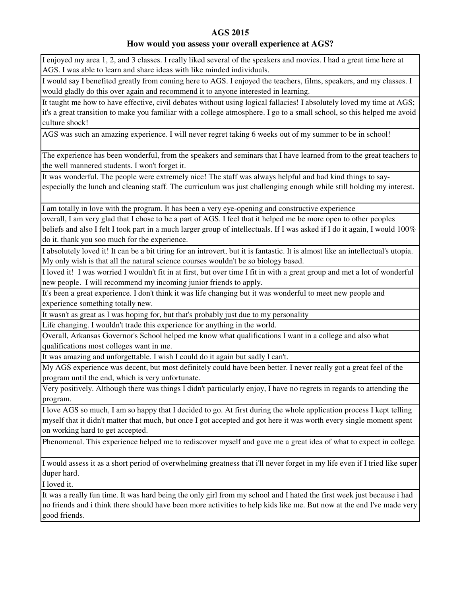### **How would you assess your overall experience at AGS?**

I enjoyed my area 1, 2, and 3 classes. I really liked several of the speakers and movies. I had a great time here at AGS. I was able to learn and share ideas with like minded individuals.

I would say I benefited greatly from coming here to AGS. I enjoyed the teachers, films, speakers, and my classes. I would gladly do this over again and recommend it to anyone interested in learning.

It taught me how to have effective, civil debates without using logical fallacies! I absolutely loved my time at AGS; it's a great transition to make you familiar with a college atmosphere. I go to a small school, so this helped me avoid culture shock!

AGS was such an amazing experience. I will never regret taking 6 weeks out of my summer to be in school!

The experience has been wonderful, from the speakers and seminars that I have learned from to the great teachers to the well mannered students. I won't forget it.

It was wonderful. The people were extremely nice! The staff was always helpful and had kind things to sayespecially the lunch and cleaning staff. The curriculum was just challenging enough while still holding my interest.

I am totally in love with the program. It has been a very eye-opening and constructive experience

overall, I am very glad that I chose to be a part of AGS. I feel that it helped me be more open to other peoples beliefs and also I felt I took part in a much larger group of intellectuals. If I was asked if I do it again, I would 100% do it. thank you soo much for the experience.

I absolutely loved it! It can be a bit tiring for an introvert, but it is fantastic. It is almost like an intellectual's utopia. My only wish is that all the natural science courses wouldn't be so biology based.

I loved it! I was worried I wouldn't fit in at first, but over time I fit in with a great group and met a lot of wonderful new people. I will recommend my incoming junior friends to apply.

It's been a great experience. I don't think it was life changing but it was wonderful to meet new people and experience something totally new.

It wasn't as great as I was hoping for, but that's probably just due to my personality

Life changing. I wouldn't trade this experience for anything in the world.

Overall, Arkansas Governor's School helped me know what qualifications I want in a college and also what qualifications most colleges want in me.

It was amazing and unforgettable. I wish I could do it again but sadly I can't.

My AGS experience was decent, but most definitely could have been better. I never really got a great feel of the program until the end, which is very unfortunate.

Very positively. Although there was things I didn't particularly enjoy, I have no regrets in regards to attending the program.

I love AGS so much, I am so happy that I decided to go. At first during the whole application process I kept telling myself that it didn't matter that much, but once I got accepted and got here it was worth every single moment spent on working hard to get accepted.

Phenomenal. This experience helped me to rediscover myself and gave me a great idea of what to expect in college.

I would assess it as a short period of overwhelming greatness that i'll never forget in my life even if I tried like super duper hard.

I loved it.

It was a really fun time. It was hard being the only girl from my school and I hated the first week just because i had no friends and i think there should have been more activities to help kids like me. But now at the end I've made very good friends.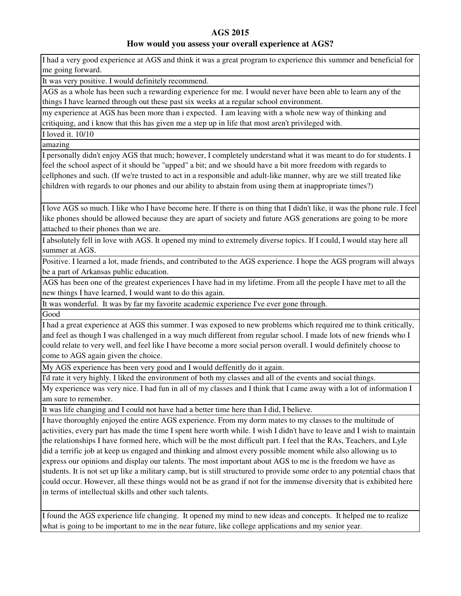### **How would you assess your overall experience at AGS?**

I had a very good experience at AGS and think it was a great program to experience this summer and beneficial for me going forward.

It was very positive. I would definitely recommend.

AGS as a whole has been such a rewarding experience for me. I would never have been able to learn any of the things I have learned through out these past six weeks at a regular school environment.

my experience at AGS has been more than i expected. I am leaving with a whole new way of thinking and critiquing, and i know that this has given me a step up in life that most aren't privileged with.

I loved it. 10/10

amazing

I personally didn't enjoy AGS that much; however, I completely understand what it was meant to do for students. I feel the school aspect of it should be "upped" a bit; and we should have a bit more freedom with regards to cellphones and such. (If we're trusted to act in a responsible and adult-like manner, why are we still treated like children with regards to our phones and our ability to abstain from using them at inappropriate times?)

I love AGS so much. I like who I have become here. If there is on thing that I didn't like, it was the phone rule. I feel like phones should be allowed because they are apart of society and future AGS generations are going to be more attached to their phones than we are.

I absolutely fell in love with AGS. It opened my mind to extremely diverse topics. If I could, I would stay here all summer at AGS.

Positive. I learned a lot, made friends, and contributed to the AGS experience. I hope the AGS program will always be a part of Arkansas public education.

AGS has been one of the greatest experiences I have had in my lifetime. From all the people I have met to all the new things I have learned, I would want to do this again.

It was wonderful. It was by far my favorite academic experience I've ever gone through.

Good

I had a great experience at AGS this summer. I was exposed to new problems which required me to think critically, and feel as though I was challenged in a way much different from regular school. I made lots of new friends who I could relate to very well, and feel like I have become a more social person overall. I would definitely choose to come to AGS again given the choice.

My AGS experience has been very good and I would deffenitly do it again.

I'd rate it very highly. I liked the environment of both my classes and all of the events and social things.

My experience was very nice. I had fun in all of my classes and I think that I came away with a lot of information I am sure to remember.

It was life changing and I could not have had a better time here than I did, I believe.

I have thoroughly enjoyed the entire AGS experience. From my dorm mates to my classes to the multitude of activities, every part has made the time I spent here worth while. I wish I didn't have to leave and I wish to maintain the relationships I have formed here, which will be the most difficult part. I feel that the RAs, Teachers, and Lyle did a terrific job at keep us engaged and thinking and almost every possible moment while also allowing us to express our opinions and display our talents. The most important about AGS to me is the freedom we have as students. It is not set up like a military camp, but is still structured to provide some order to any potential chaos that could occur. However, all these things would not be as grand if not for the immense diversity that is exhibited here in terms of intellectual skills and other such talents.

I found the AGS experience life changing. It opened my mind to new ideas and concepts. It helped me to realize what is going to be important to me in the near future, like college applications and my senior year.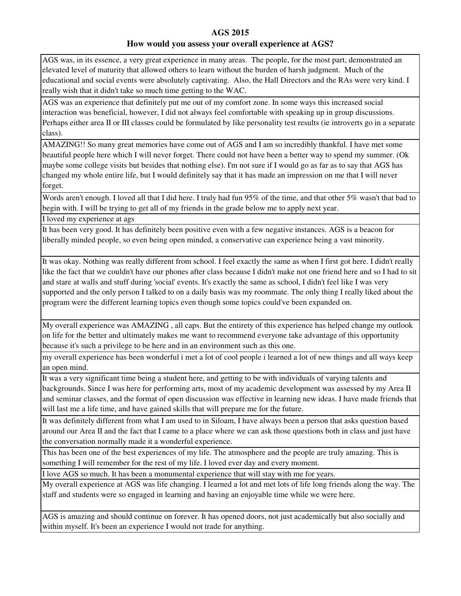AGS was, in its essence, a very great experience in many areas. The people, for the most part, demonstrated an elevated level of maturity that allowed others to learn without the burden of harsh judgment. Much of the educational and social events were absolutely captivating. Also, the Hall Directors and the RAs were very kind. I really wish that it didn't take so much time getting to the WAC.

AGS was an experience that definitely put me out of my comfort zone. In some ways this increased social interaction was beneficial, however, I did not always feel comfortable with speaking up in group discussions. Perhaps either area II or III classes could be formulated by like personality test results (ie introverts go in a separate class).

AMAZING!! So many great memories have come out of AGS and I am so incredibly thankful. I have met some beautiful people here which I will never forget. There could not have been a better way to spend my summer. (Ok maybe some college visits but besides that nothing else). I'm not sure if I would go as far as to say that AGS has changed my whole entire life, but I would definitely say that it has made an impression on me that I will never forget.

Words aren't enough. I loved all that I did here. I truly had fun 95% of the time, and that other 5% wasn't that bad to begin with. I will be trying to get all of my friends in the grade below me to apply next year.

I loved my experience at ags

It has been very good. It has definitely been positive even with a few negative instances. AGS is a beacon for liberally minded people, so even being open minded, a conservative can experience being a vast minority.

It was okay. Nothing was really different from school. I feel exactly the same as when I first got here. I didn't really like the fact that we couldn't have our phones after class because I didn't make not one friend here and so I had to sit and stare at walls and stuff during 'social' events. It's exactly the same as school, I didn't feel like I was very supported and the only person I talked to on a daily basis was my roommate. The only thing I really liked about the program were the different learning topics even though some topics could've been expanded on.

My overall experience was AMAZING , all caps. But the entirety of this experience has helped change my outlook on life for the better and ultimately makes me want to recommend everyone take advantage of this opportunity because it's such a privilege to be here and in an environment such as this one.

my overall experience has been wonderful i met a lot of cool people i learned a lot of new things and all ways keep an open mind.

It was a very significant time being a student here, and getting to be with individuals of varying talents and backgrounds. Since I was here for performing arts, most of my academic development was assessed by my Area II and seminar classes, and the format of open discussion was effective in learning new ideas. I have made friends that will last me a life time, and have gained skills that will prepare me for the future.

It was definitely different from what I am used to in Siloam, I have always been a person that asks question based around our Area II and the fact that I came to a place where we can ask those questions both in class and just have the conversation normally made it a wonderful experience.

This has been one of the best experiences of my life. The atmosphere and the people are truly amazing. This is something I will remember for the rest of my life. I loved ever day and every moment.

I love AGS so much. It has been a monumental experience that will stay with me for years.

My overall experience at AGS was life changing. I learned a lot and met lots of life long friends along the way. The staff and students were so engaged in learning and having an enjoyable time while we were here.

AGS is amazing and should continue on forever. It has opened doors, not just academically but also socially and within myself. It's been an experience I would not trade for anything.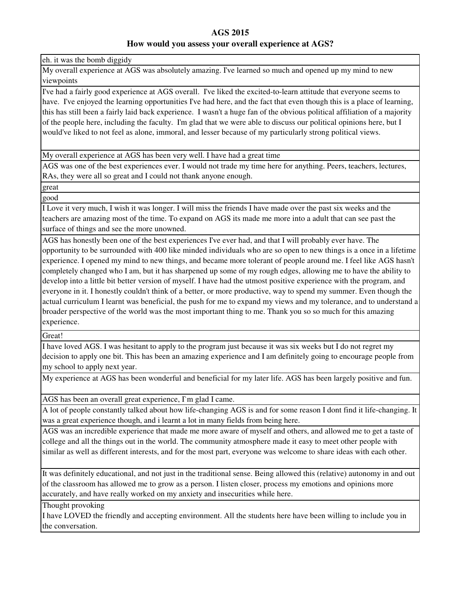eh. it was the bomb diggidy

My overall experience at AGS was absolutely amazing. I've learned so much and opened up my mind to new viewpoints

I've had a fairly good experience at AGS overall. I've liked the excited-to-learn attitude that everyone seems to have. I've enjoyed the learning opportunities I've had here, and the fact that even though this is a place of learning, this has still been a fairly laid back experience. I wasn't a huge fan of the obvious political affiliation of a majority of the people here, including the faculty. I'm glad that we were able to discuss our political opinions here, but I would've liked to not feel as alone, immoral, and lesser because of my particularly strong political views.

My overall experience at AGS has been very well. I have had a great time

AGS was one of the best experiences ever. I would not trade my time here for anything. Peers, teachers, lectures, RAs, they were all so great and I could not thank anyone enough.

great

good

I Love it very much, I wish it was longer. I will miss the friends I have made over the past six weeks and the teachers are amazing most of the time. To expand on AGS its made me more into a adult that can see past the surface of things and see the more unowned.

AGS has honestly been one of the best experiences I've ever had, and that I will probably ever have. The opportunity to be surrounded with 400 like minded individuals who are so open to new things is a once in a lifetime experience. I opened my mind to new things, and became more tolerant of people around me. I feel like AGS hasn't completely changed who I am, but it has sharpened up some of my rough edges, allowing me to have the ability to develop into a little bit better version of myself. I have had the utmost positive experience with the program, and everyone in it. I honestly couldn't think of a better, or more productive, way to spend my summer. Even though the actual curriculum I learnt was beneficial, the push for me to expand my views and my tolerance, and to understand a broader perspective of the world was the most important thing to me. Thank you so so much for this amazing experience.

Great!

I have loved AGS. I was hesitant to apply to the program just because it was six weeks but I do not regret my decision to apply one bit. This has been an amazing experience and I am definitely going to encourage people from my school to apply next year.

My experience at AGS has been wonderful and beneficial for my later life. AGS has been largely positive and fun.

AGS has been an overall great experience,  $\Gamma$ m glad I came.

A lot of people constantly talked about how life-changing AGS is and for some reason I dont find it life-changing. It was a great experience though, and i learnt a lot in many fields from being here.

AGS was an incredible experience that made me more aware of myself and others, and allowed me to get a taste of college and all the things out in the world. The community atmosphere made it easy to meet other people with similar as well as different interests, and for the most part, everyone was welcome to share ideas with each other.

It was definitely educational, and not just in the traditional sense. Being allowed this (relative) autonomy in and out of the classroom has allowed me to grow as a person. I listen closer, process my emotions and opinions more accurately, and have really worked on my anxiety and insecurities while here.

Thought provoking

I have LOVED the friendly and accepting environment. All the students here have been willing to include you in the conversation.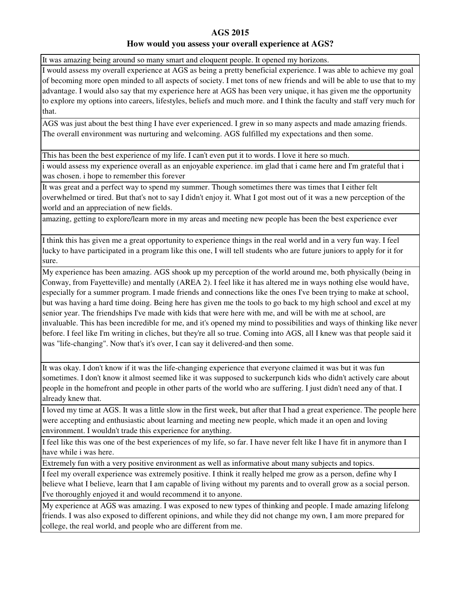It was amazing being around so many smart and eloquent people. It opened my horizons.

I would assess my overall experience at AGS as being a pretty beneficial experience. I was able to achieve my goal of becoming more open minded to all aspects of society. I met tons of new friends and will be able to use that to my advantage. I would also say that my experience here at AGS has been very unique, it has given me the opportunity to explore my options into careers, lifestyles, beliefs and much more. and I think the faculty and staff very much for that.

AGS was just about the best thing I have ever experienced. I grew in so many aspects and made amazing friends. The overall environment was nurturing and welcoming. AGS fulfilled my expectations and then some.

This has been the best experience of my life. I can't even put it to words. I love it here so much.

i would assess my experience overall as an enjoyable experience. im glad that i came here and I'm grateful that i was chosen. i hope to remember this forever

It was great and a perfect way to spend my summer. Though sometimes there was times that I either felt overwhelmed or tired. But that's not to say I didn't enjoy it. What I got most out of it was a new perception of the world and an appreciation of new fields.

amazing, getting to explore/learn more in my areas and meeting new people has been the best experience ever

I think this has given me a great opportunity to experience things in the real world and in a very fun way. I feel lucky to have participated in a program like this one, I will tell students who are future juniors to apply for it for sure.

My experience has been amazing. AGS shook up my perception of the world around me, both physically (being in Conway, from Fayetteville) and mentally (AREA 2). I feel like it has altered me in ways nothing else would have, especially for a summer program. I made friends and connections like the ones I've been trying to make at school, but was having a hard time doing. Being here has given me the tools to go back to my high school and excel at my senior year. The friendships I've made with kids that were here with me, and will be with me at school, are invaluable. This has been incredible for me, and it's opened my mind to possibilities and ways of thinking like never before. I feel like I'm writing in cliches, but they're all so true. Coming into AGS, all I knew was that people said it was "life-changing". Now that's it's over, I can say it delivered-and then some.

It was okay. I don't know if it was the life-changing experience that everyone claimed it was but it was fun sometimes. I don't know it almost seemed like it was supposed to suckerpunch kids who didn't actively care about people in the homefront and people in other parts of the world who are suffering. I just didn't need any of that. I already knew that.

I loved my time at AGS. It was a little slow in the first week, but after that I had a great experience. The people here were accepting and enthusiastic about learning and meeting new people, which made it an open and loving environment. I wouldn't trade this experience for anything.

I feel like this was one of the best experiences of my life, so far. I have never felt like I have fit in anymore than I have while i was here.

Extremely fun with a very positive environment as well as informative about many subjects and topics.

I feel my overall experience was extremely positive. I think it really helped me grow as a person, define why I believe what I believe, learn that I am capable of living without my parents and to overall grow as a social person. I've thoroughly enjoyed it and would recommend it to anyone.

My experience at AGS was amazing. I was exposed to new types of thinking and people. I made amazing lifelong friends. I was also exposed to different opinions, and while they did not change my own, I am more prepared for college, the real world, and people who are different from me.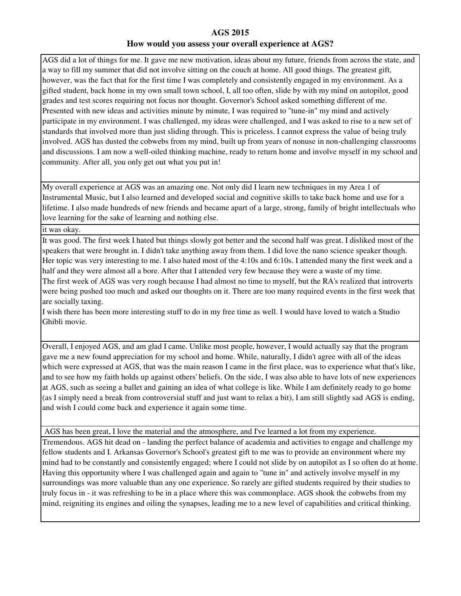AGS did a lot of things for me. It gave me new motivation, ideas about my future, friends from across the state, and a way to fill my summer that did not involve sitting on the couch at home. All good things. The greatest gift, however, was the fact that for the first time I was completely and consistently engaged in my environment. As a gifted student, back home in my own small town school, I, all too often, slide by with my mind on autopilot, good grades and test scores requiring not focus nor thought. Governor's School asked something different of me. Presented with new ideas and activities minute by minute, I was required to "tune-in" my mind and actively participate in my environment. I was challenged, my ideas were challenged, and I was asked to rise to a new set of standards that involved more than just sliding through. This is priceless. I cannot express the value of being truly involved. AGS has dusted the cobwebs from my mind, built up from years of nonuse in non-challenging classrooms and discussions. I am now a well-oiled thinking machine, ready to return home and involve myself in my school and community. After all, you only get out what you put in!

My overall experience at AGS was an amazing one. Not only did I learn new techniques in my Area 1 of Instrumental Music, but I also learned and developed social and cognitive skills to take back home and use for a lifetime. I also made hundreds of new friends and became apart of a large, strong, family of bright intellectuals who love learning for the sake of learning and nothing else.

it was okay.

It was good. The first week I hated but things slowly got better and the second half was great. I disliked most of the speakers that were brought in. I didn't take anything away from them. I did love the nano science speaker though. Her topic was very interesting to me. I also hated most of the 4:10s and 6:10s. I attended many the first week and a half and they were almost all a bore. After that I attended very few because they were a waste of my time. The first week of AGS was very rough because I had almost no time to myself, but the RA's realized that introverts were being pushed too much and asked our thoughts on it. There are too many required events in the first week that are socially taxing.

I wish there has been more interesting stuff to do in my free time as well. I would have loved to watch a Studio Ghibli movie.

Overall, I enjoyed AGS, and am glad I came. Unlike most people, however, I would actually say that the program gave me a new found appreciation for my school and home. While, naturally, I didn't agree with all of the ideas which were expressed at AGS, that was the main reason I came in the first place, was to experience what that's like, and to see how my faith holds up against others' beliefs. On the side, I was also able to have lots of new experiences at AGS, such as seeing a ballet and gaining an idea of what college is like. While I am definitely ready to go home (as I simply need a break from controversial stuff and just want to relax a bit), I am still slightly sad AGS is ending, and wish I could come back and experience it again some time.

AGS has been great, I love the material and the atmosphere, and I've learned a lot from my experience.

Tremendous. AGS hit dead on - landing the perfect balance of academia and activities to engage and challenge my fellow students and I. Arkansas Governor's School's greatest gift to me was to provide an environment where my mind had to be constantly and consistently engaged; where I could not slide by on autopilot as I so often do at home. Having this opportunity where I was challenged again and again to "tune in" and actively involve myself in my surroundings was more valuable than any one experience. So rarely are gifted students required by their studies to truly focus in - it was refreshing to be in a place where this was commonplace. AGS shook the cobwebs from my mind, reigniting its engines and oiling the synapses, leading me to a new level of capabilities and critical thinking.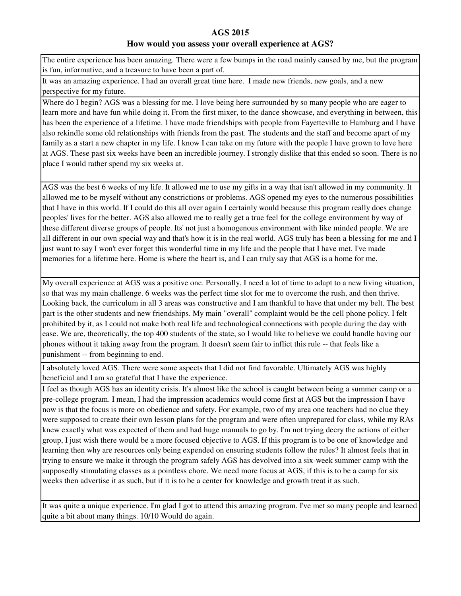The entire experience has been amazing. There were a few bumps in the road mainly caused by me, but the program is fun, informative, and a treasure to have been a part of.

It was an amazing experience. I had an overall great time here. I made new friends, new goals, and a new perspective for my future.

Where do I begin? AGS was a blessing for me. I love being here surrounded by so many people who are eager to learn more and have fun while doing it. From the first mixer, to the dance showcase, and everything in between, this has been the experience of a lifetime. I have made friendships with people from Fayetteville to Hamburg and I have also rekindle some old relationships with friends from the past. The students and the staff and become apart of my family as a start a new chapter in my life. I know I can take on my future with the people I have grown to love here at AGS. These past six weeks have been an incredible journey. I strongly dislike that this ended so soon. There is no place I would rather spend my six weeks at.

AGS was the best 6 weeks of my life. It allowed me to use my gifts in a way that isn't allowed in my community. It allowed me to be myself without any constrictions or problems. AGS opened my eyes to the numerous possibilities that I have in this world. If I could do this all over again I certainly would because this program really does change peoples' lives for the better. AGS also allowed me to really get a true feel for the college environment by way of these different diverse groups of people. Its' not just a homogenous environment with like minded people. We are all different in our own special way and that's how it is in the real world. AGS truly has been a blessing for me and I just want to say I won't ever forget this wonderful time in my life and the people that I have met. I've made memories for a lifetime here. Home is where the heart is, and I can truly say that AGS is a home for me.

My overall experience at AGS was a positive one. Personally, I need a lot of time to adapt to a new living situation, so that was my main challenge. 6 weeks was the perfect time slot for me to overcome the rush, and then thrive. Looking back, the curriculum in all 3 areas was constructive and I am thankful to have that under my belt. The best part is the other students and new friendships. My main "overall" complaint would be the cell phone policy. I felt prohibited by it, as I could not make both real life and technological connections with people during the day with ease. We are, theoretically, the top 400 students of the state, so I would like to believe we could handle having our phones without it taking away from the program. It doesn't seem fair to inflict this rule -- that feels like a punishment -- from beginning to end.

I absolutely loved AGS. There were some aspects that I did not find favorable. Ultimately AGS was highly beneficial and I am so grateful that I have the experience.

I feel as though AGS has an identity crisis. It's almost like the school is caught between being a summer camp or a pre-college program. I mean, I had the impression academics would come first at AGS but the impression I have now is that the focus is more on obedience and safety. For example, two of my area one teachers had no clue they were supposed to create their own lesson plans for the program and were often unprepared for class, while my RAs knew exactly what was expected of them and had huge manuals to go by. I'm not trying decry the actions of either group, I just wish there would be a more focused objective to AGS. If this program is to be one of knowledge and learning then why are resources only being expended on ensuring students follow the rules? It almost feels that in trying to ensure we make it through the program safely AGS has devolved into a six-week summer camp with the supposedly stimulating classes as a pointless chore. We need more focus at AGS, if this is to be a camp for six weeks then advertise it as such, but if it is to be a center for knowledge and growth treat it as such.

It was quite a unique experience. I'm glad I got to attend this amazing program. I've met so many people and learned quite a bit about many things. 10/10 Would do again.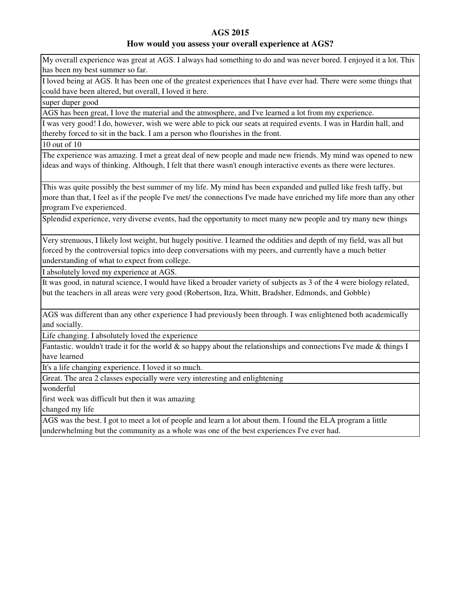### **How would you assess your overall experience at AGS?**

My overall experience was great at AGS. I always had something to do and was never bored. I enjoyed it a lot. This has been my best summer so far.

I loved being at AGS. It has been one of the greatest experiences that I have ever had. There were some things that could have been altered, but overall, I loved it here.

super duper good

AGS has been great, I love the material and the atmosphere, and I've learned a lot from my experience.

I was very good! I do, however, wish we were able to pick our seats at required events. I was in Hardin hall, and thereby forced to sit in the back. I am a person who flourishes in the front.

10 out of 10

The experience was amazing. I met a great deal of new people and made new friends. My mind was opened to new ideas and ways of thinking. Although, I felt that there wasn't enough interactive events as there were lectures.

This was quite possibly the best summer of my life. My mind has been expanded and pulled like fresh taffy, but more than that, I feel as if the people I've met/ the connections I've made have enriched my life more than any other program I've experienced.

Splendid experience, very diverse events, had the opportunity to meet many new people and try many new things

Very strenuous, I likely lost weight, but hugely positive. I learned the oddities and depth of my field, was all but forced by the controversial topics into deep conversations with my peers, and currently have a much better understanding of what to expect from college.

I absolutely loved my experience at AGS.

It was good, in natural science, I would have liked a broader variety of subjects as 3 of the 4 were biology related, but the teachers in all areas were very good (Robertson, Itza, Whitt, Bradsher, Edmonds, and Gobble)

AGS was different than any other experience I had previously been through. I was enlightened both academically and socially.

Life changing. I absolutely loved the experience

Fantastic. wouldn't trade it for the world  $\&$  so happy about the relationships and connections I've made  $\&$  things I have learned

It's a life changing experience. I loved it so much.

Great. The area 2 classes especially were very interesting and enlightening

wonderful

first week was difficult but then it was amazing

changed my life

AGS was the best. I got to meet a lot of people and learn a lot about them. I found the ELA program a little underwhelming but the community as a whole was one of the best experiences I've ever had.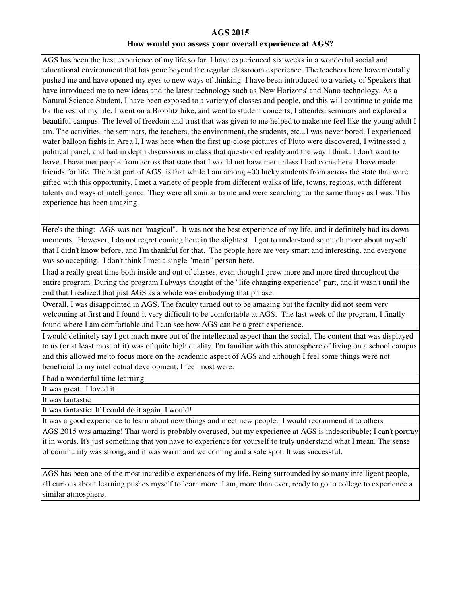AGS has been the best experience of my life so far. I have experienced six weeks in a wonderful social and educational environment that has gone beyond the regular classroom experience. The teachers here have mentally pushed me and have opened my eyes to new ways of thinking. I have been introduced to a variety of Speakers that have introduced me to new ideas and the latest technology such as 'New Horizons' and Nano-technology. As a Natural Science Student, I have been exposed to a variety of classes and people, and this will continue to guide me for the rest of my life. I went on a Bioblitz hike, and went to student concerts, I attended seminars and explored a beautiful campus. The level of freedom and trust that was given to me helped to make me feel like the young adult I am. The activities, the seminars, the teachers, the environment, the students, etc...I was never bored. I experienced water balloon fights in Area I, I was here when the first up-close pictures of Pluto were discovered, I witnessed a political panel, and had in depth discussions in class that questioned reality and the way I think. I don't want to leave. I have met people from across that state that I would not have met unless I had come here. I have made friends for life. The best part of AGS, is that while I am among 400 lucky students from across the state that were gifted with this opportunity, I met a variety of people from different walks of life, towns, regions, with different talents and ways of intelligence. They were all similar to me and were searching for the same things as I was. This experience has been amazing.

Here's the thing: AGS was not "magical". It was not the best experience of my life, and it definitely had its down moments. However, I do not regret coming here in the slightest. I got to understand so much more about myself that I didn't know before, and I'm thankful for that. The people here are very smart and interesting, and everyone was so accepting. I don't think I met a single "mean" person here.

I had a really great time both inside and out of classes, even though I grew more and more tired throughout the entire program. During the program I always thought of the "life changing experience" part, and it wasn't until the end that I realized that just AGS as a whole was embodying that phrase.

Overall, I was disappointed in AGS. The faculty turned out to be amazing but the faculty did not seem very welcoming at first and I found it very difficult to be comfortable at AGS. The last week of the program, I finally found where I am comfortable and I can see how AGS can be a great experience.

I would definitely say I got much more out of the intellectual aspect than the social. The content that was displayed to us (or at least most of it) was of quite high quality. I'm familiar with this atmosphere of living on a school campus and this allowed me to focus more on the academic aspect of AGS and although I feel some things were not beneficial to my intellectual development, I feel most were.

I had a wonderful time learning.

It was great. I loved it!

It was fantastic

It was fantastic. If I could do it again, I would!

It was a good experience to learn about new things and meet new people. I would recommend it to others

AGS 2015 was amazing! That word is probably overused, but my experience at AGS is indescribable; I can't portray it in words. It's just something that you have to experience for yourself to truly understand what I mean. The sense of community was strong, and it was warm and welcoming and a safe spot. It was successful.

AGS has been one of the most incredible experiences of my life. Being surrounded by so many intelligent people, all curious about learning pushes myself to learn more. I am, more than ever, ready to go to college to experience a similar atmosphere.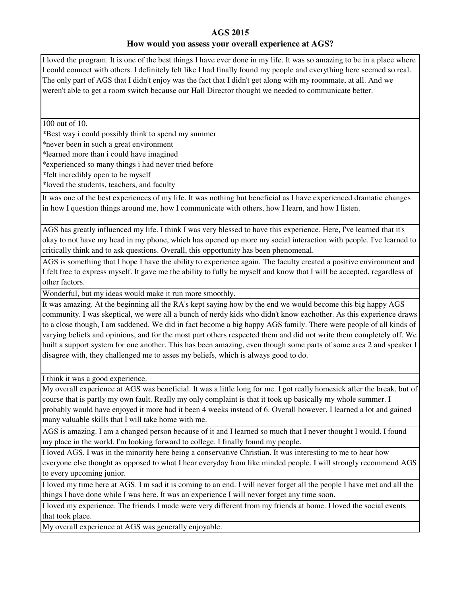I loved the program. It is one of the best things I have ever done in my life. It was so amazing to be in a place where I could connect with others. I definitely felt like I had finally found my people and everything here seemed so real. The only part of AGS that I didn't enjoy was the fact that I didn't get along with my roommate, at all. And we weren't able to get a room switch because our Hall Director thought we needed to communicate better.

100 out of 10.

\*Best way i could possibly think to spend my summer

\*never been in such a great environment

\*learned more than i could have imagined

\*experienced so many things i had never tried before

\*felt incredibly open to be myself

\*loved the students, teachers, and faculty

It was one of the best experiences of my life. It was nothing but beneficial as I have experienced dramatic changes in how I question things around me, how I communicate with others, how I learn, and how I listen.

AGS has greatly influenced my life. I think I was very blessed to have this experience. Here, I've learned that it's okay to not have my head in my phone, which has opened up more my social interaction with people. I've learned to critically think and to ask questions. Overall, this opportunity has been phenomenal.

AGS is something that I hope I have the ability to experience again. The faculty created a positive environment and I felt free to express myself. It gave me the ability to fully be myself and know that I will be accepted, regardless of other factors.

Wonderful, but my ideas would make it run more smoothly.

It was amazing. At the beginning all the RA's kept saying how by the end we would become this big happy AGS community. I was skeptical, we were all a bunch of nerdy kids who didn't know eachother. As this experience draws to a close though, I am saddened. We did in fact become a big happy AGS family. There were people of all kinds of varying beliefs and opinions, and for the most part others respected them and did not write them completely off. We built a support system for one another. This has been amazing, even though some parts of some area 2 and speaker I disagree with, they challenged me to asses my beliefs, which is always good to do.

I think it was a good experience.

My overall experience at AGS was beneficial. It was a little long for me. I got really homesick after the break, but of course that is partly my own fault. Really my only complaint is that it took up basically my whole summer. I probably would have enjoyed it more had it been 4 weeks instead of 6. Overall however, I learned a lot and gained many valuable skills that I will take home with me.

AGS is amazing. I am a changed person because of it and I learned so much that I never thought I would. I found my place in the world. I'm looking forward to college. I finally found my people.

I loved AGS. I was in the minority here being a conservative Christian. It was interesting to me to hear how everyone else thought as opposed to what I hear everyday from like minded people. I will strongly recommend AGS to every upcoming junior.

I loved my time here at AGS. I m sad it is coming to an end. I will never forget all the people I have met and all the things I have done while I was here. It was an experience I will never forget any time soon.

I loved my experience. The friends I made were very different from my friends at home. I loved the social events that took place.

My overall experience at AGS was generally enjoyable.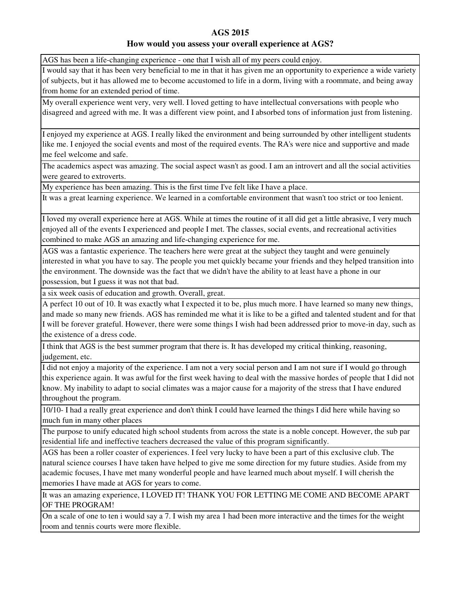### **How would you assess your overall experience at AGS?**

AGS has been a life-changing experience - one that I wish all of my peers could enjoy.

I would say that it has been very beneficial to me in that it has given me an opportunity to experience a wide variety of subjects, but it has allowed me to become accustomed to life in a dorm, living with a roommate, and being away from home for an extended period of time.

My overall experience went very, very well. I loved getting to have intellectual conversations with people who disagreed and agreed with me. It was a different view point, and I absorbed tons of information just from listening.

I enjoyed my experience at AGS. I really liked the environment and being surrounded by other intelligent students like me. I enjoyed the social events and most of the required events. The RA's were nice and supportive and made me feel welcome and safe.

The academics aspect was amazing. The social aspect wasn't as good. I am an introvert and all the social activities were geared to extroverts.

My experience has been amazing. This is the first time I've felt like I have a place.

It was a great learning experience. We learned in a comfortable environment that wasn't too strict or too lenient.

I loved my overall experience here at AGS. While at times the routine of it all did get a little abrasive, I very much enjoyed all of the events I experienced and people I met. The classes, social events, and recreational activities combined to make AGS an amazing and life-changing experience for me.

AGS was a fantastic experience. The teachers here were great at the subject they taught and were genuinely interested in what you have to say. The people you met quickly became your friends and they helped transition into the environment. The downside was the fact that we didn't have the ability to at least have a phone in our possession, but I guess it was not that bad.

a six week oasis of education and growth. Overall, great.

A perfect 10 out of 10. It was exactly what I expected it to be, plus much more. I have learned so many new things, and made so many new friends. AGS has reminded me what it is like to be a gifted and talented student and for that I will be forever grateful. However, there were some things I wish had been addressed prior to move-in day, such as the existence of a dress code.

I think that AGS is the best summer program that there is. It has developed my critical thinking, reasoning, judgement, etc.

I did not enjoy a majority of the experience. I am not a very social person and I am not sure if I would go through this experience again. It was awful for the first week having to deal with the massive hordes of people that I did not know. My inability to adapt to social climates was a major cause for a majority of the stress that I have endured throughout the program.

10/10- I had a really great experience and don't think I could have learned the things I did here while having so much fun in many other places

The purpose to unify educated high school students from across the state is a noble concept. However, the sub par residential life and ineffective teachers decreased the value of this program significantly.

AGS has been a roller coaster of experiences. I feel very lucky to have been a part of this exclusive club. The natural science courses I have taken have helped to give me some direction for my future studies. Aside from my academic focuses, I have met many wonderful people and have learned much about myself. I will cherish the memories I have made at AGS for years to come.

It was an amazing experience, I LOVED IT! THANK YOU FOR LETTING ME COME AND BECOME APART OF THE PROGRAM!

On a scale of one to ten i would say a 7. I wish my area 1 had been more interactive and the times for the weight room and tennis courts were more flexible.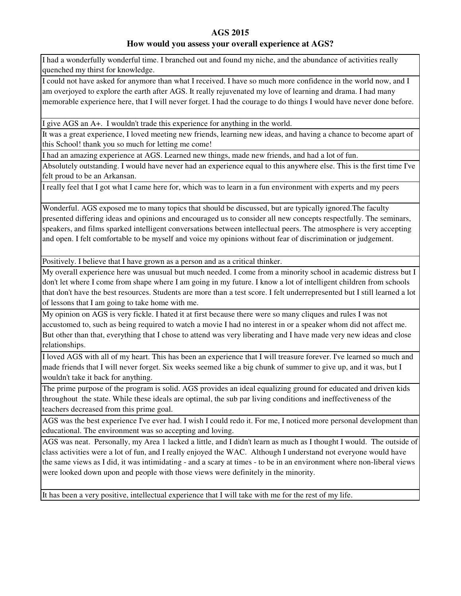### **How would you assess your overall experience at AGS?**

I had a wonderfully wonderful time. I branched out and found my niche, and the abundance of activities really quenched my thirst for knowledge.

I could not have asked for anymore than what I received. I have so much more confidence in the world now, and I am overjoyed to explore the earth after AGS. It really rejuvenated my love of learning and drama. I had many memorable experience here, that I will never forget. I had the courage to do things I would have never done before.

I give AGS an A+. I wouldn't trade this experience for anything in the world.

It was a great experience, I loved meeting new friends, learning new ideas, and having a chance to become apart of this School! thank you so much for letting me come!

I had an amazing experience at AGS. Learned new things, made new friends, and had a lot of fun.

Absolutely outstanding. I would have never had an experience equal to this anywhere else. This is the first time I've felt proud to be an Arkansan.

I really feel that I got what I came here for, which was to learn in a fun environment with experts and my peers

Wonderful. AGS exposed me to many topics that should be discussed, but are typically ignored.The faculty presented differing ideas and opinions and encouraged us to consider all new concepts respectfully. The seminars, speakers, and films sparked intelligent conversations between intellectual peers. The atmosphere is very accepting and open. I felt comfortable to be myself and voice my opinions without fear of discrimination or judgement.

Positively. I believe that I have grown as a person and as a critical thinker.

My overall experience here was unusual but much needed. I come from a minority school in academic distress but I don't let where I come from shape where I am going in my future. I know a lot of intelligent children from schools that don't have the best resources. Students are more than a test score. I felt underrepresented but I still learned a lot of lessons that I am going to take home with me.

My opinion on AGS is very fickle. I hated it at first because there were so many cliques and rules I was not accustomed to, such as being required to watch a movie I had no interest in or a speaker whom did not affect me. But other than that, everything that I chose to attend was very liberating and I have made very new ideas and close relationships.

I loved AGS with all of my heart. This has been an experience that I will treasure forever. I've learned so much and made friends that I will never forget. Six weeks seemed like a big chunk of summer to give up, and it was, but I wouldn't take it back for anything.

The prime purpose of the program is solid. AGS provides an ideal equalizing ground for educated and driven kids throughout the state. While these ideals are optimal, the sub par living conditions and ineffectiveness of the teachers decreased from this prime goal.

AGS was the best experience I've ever had. I wish I could redo it. For me, I noticed more personal development than educational. The environment was so accepting and loving.

AGS was neat. Personally, my Area 1 lacked a little, and I didn't learn as much as I thought I would. The outside of class activities were a lot of fun, and I really enjoyed the WAC. Although I understand not everyone would have the same views as I did, it was intimidating - and a scary at times - to be in an environment where non-liberal views were looked down upon and people with those views were definitely in the minority.

It has been a very positive, intellectual experience that I will take with me for the rest of my life.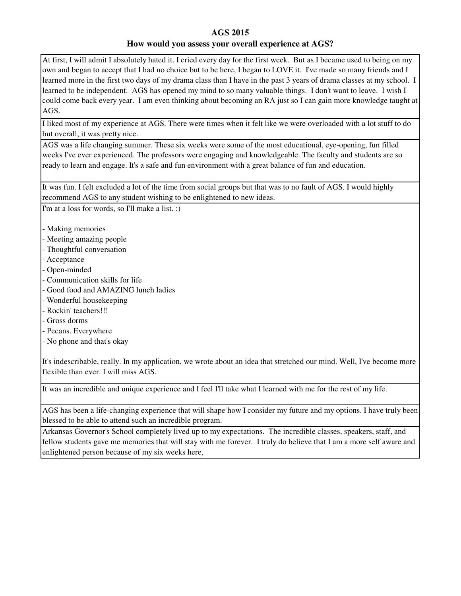At first, I will admit I absolutely hated it. I cried every day for the first week. But as I became used to being on my own and began to accept that I had no choice but to be here, I began to LOVE it. I've made so many friends and I learned more in the first two days of my drama class than I have in the past 3 years of drama classes at my school. I learned to be independent. AGS has opened my mind to so many valuable things. I don't want to leave. I wish I could come back every year. I am even thinking about becoming an RA just so I can gain more knowledge taught at AGS.

I liked most of my experience at AGS. There were times when it felt like we were overloaded with a lot stuff to do but overall, it was pretty nice.

AGS was a life changing summer. These six weeks were some of the most educational, eye-opening, fun filled weeks I've ever experienced. The professors were engaging and knowledgeable. The faculty and students are so ready to learn and engage. It's a safe and fun environment with a great balance of fun and education.

It was fun. I felt excluded a lot of the time from social groups but that was to no fault of AGS. I would highly recommend AGS to any student wishing to be enlightened to new ideas.

I'm at a loss for words, so I'll make a list. :)

- Making memories

- Meeting amazing people
- Thoughtful conversation
- Acceptance
- Open-minded
- Communication skills for life
- Good food and AMAZING lunch ladies
- Wonderful housekeeping
- Rockin' teachers!!!
- Gross dorms
- Pecans. Everywhere
- No phone and that's okay

It's indescribable, really. In my application, we wrote about an idea that stretched our mind. Well, I've become more flexible than ever. I will miss AGS.

It was an incredible and unique experience and I feel I'll take what I learned with me for the rest of my life.

AGS has been a life-changing experience that will shape how I consider my future and my options. I have truly been blessed to be able to attend such an incredible program.

Arkansas Governor's School completely lived up to my expectations. The incredible classes, speakers, staff, and fellow students gave me memories that will stay with me forever. I truly do believe that I am a more self aware and enlightened person because of my six weeks here,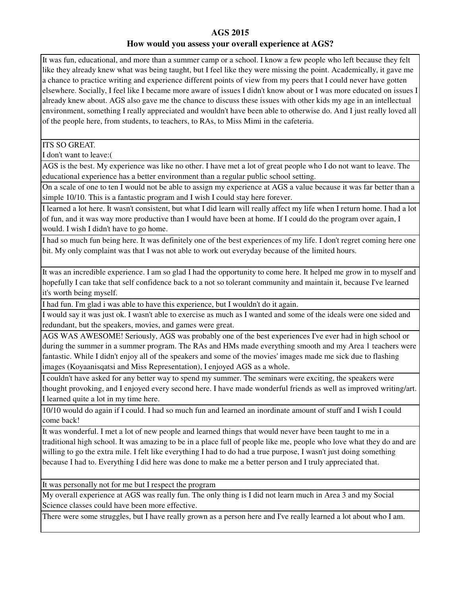It was fun, educational, and more than a summer camp or a school. I know a few people who left because they felt like they already knew what was being taught, but I feel like they were missing the point. Academically, it gave me a chance to practice writing and experience different points of view from my peers that I could never have gotten elsewhere. Socially, I feel like I became more aware of issues I didn't know about or I was more educated on issues I already knew about. AGS also gave me the chance to discuss these issues with other kids my age in an intellectual environment, something I really appreciated and wouldn't have been able to otherwise do. And I just really loved all of the people here, from students, to teachers, to RAs, to Miss Mimi in the cafeteria.

ITS SO GREAT.

I don't want to leave:(

AGS is the best. My experience was like no other. I have met a lot of great people who I do not want to leave. The educational experience has a better environment than a regular public school setting.

On a scale of one to ten I would not be able to assign my experience at AGS a value because it was far better than a simple 10/10. This is a fantastic program and I wish I could stay here forever.

I learned a lot here. It wasn't consistent, but what I did learn will really affect my life when I return home. I had a lot of fun, and it was way more productive than I would have been at home. If I could do the program over again, I would. I wish I didn't have to go home.

I had so much fun being here. It was definitely one of the best experiences of my life. I don't regret coming here one bit. My only complaint was that I was not able to work out everyday because of the limited hours.

It was an incredible experience. I am so glad I had the opportunity to come here. It helped me grow in to myself and hopefully I can take that self confidence back to a not so tolerant community and maintain it, because I've learned it's worth being myself.

I had fun. I'm glad i was able to have this experience, but I wouldn't do it again.

I would say it was just ok. I wasn't able to exercise as much as I wanted and some of the ideals were one sided and redundant, but the speakers, movies, and games were great.

AGS WAS AWESOME! Seriously, AGS was probably one of the best experiences I've ever had in high school or during the summer in a summer program. The RAs and HMs made everything smooth and my Area 1 teachers were fantastic. While I didn't enjoy all of the speakers and some of the movies' images made me sick due to flashing images (Koyaanisqatsi and Miss Representation), I enjoyed AGS as a whole.

I couldn't have asked for any better way to spend my summer. The seminars were exciting, the speakers were thought provoking, and I enjoyed every second here. I have made wonderful friends as well as improved writing/art. I learned quite a lot in my time here.

10/10 would do again if I could. I had so much fun and learned an inordinate amount of stuff and I wish I could come back!

It was wonderful. I met a lot of new people and learned things that would never have been taught to me in a traditional high school. It was amazing to be in a place full of people like me, people who love what they do and are willing to go the extra mile. I felt like everything I had to do had a true purpose, I wasn't just doing something because I had to. Everything I did here was done to make me a better person and I truly appreciated that.

It was personally not for me but I respect the program

My overall experience at AGS was really fun. The only thing is I did not learn much in Area 3 and my Social Science classes could have been more effective.

There were some struggles, but I have really grown as a person here and I've really learned a lot about who I am.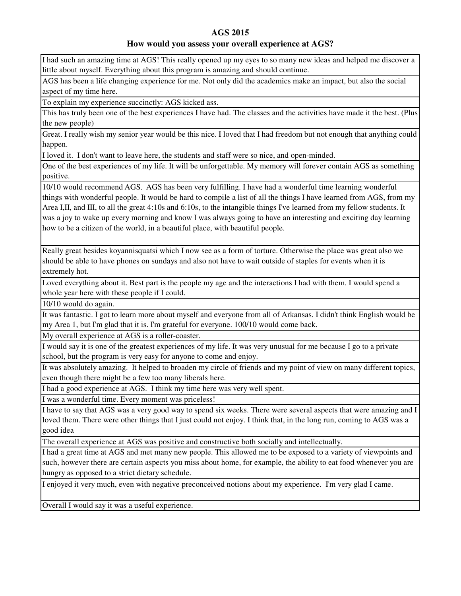### **How would you assess your overall experience at AGS?**

I had such an amazing time at AGS! This really opened up my eyes to so many new ideas and helped me discover a little about myself. Everything about this program is amazing and should continue.

AGS has been a life changing experience for me. Not only did the academics make an impact, but also the social aspect of my time here.

To explain my experience succinctly: AGS kicked ass.

This has truly been one of the best experiences I have had. The classes and the activities have made it the best. (Plus the new people)

Great. I really wish my senior year would be this nice. I loved that I had freedom but not enough that anything could happen.

I loved it. I don't want to leave here, the students and staff were so nice, and open-minded.

One of the best experiences of my life. It will be unforgettable. My memory will forever contain AGS as something positive.

10/10 would recommend AGS. AGS has been very fulfilling. I have had a wonderful time learning wonderful things with wonderful people. It would be hard to compile a list of all the things I have learned from AGS, from my Area I,II, and III, to all the great 4:10s and 6:10s, to the intangible things I've learned from my fellow students. It was a joy to wake up every morning and know I was always going to have an interesting and exciting day learning how to be a citizen of the world, in a beautiful place, with beautiful people.

Really great besides koyannisquatsi which I now see as a form of torture. Otherwise the place was great also we should be able to have phones on sundays and also not have to wait outside of staples for events when it is extremely hot.

Loved everything about it. Best part is the people my age and the interactions I had with them. I would spend a whole year here with these people if I could.

10/10 would do again.

It was fantastic. I got to learn more about myself and everyone from all of Arkansas. I didn't think English would be my Area 1, but I'm glad that it is. I'm grateful for everyone. 100/10 would come back.

My overall experience at AGS is a roller-coaster.

I would say it is one of the greatest experiences of my life. It was very unusual for me because I go to a private school, but the program is very easy for anyone to come and enjoy.

It was absolutely amazing. It helped to broaden my circle of friends and my point of view on many different topics, even though there might be a few too many liberals here.

I had a good experience at AGS. I think my time here was very well spent.

I was a wonderful time. Every moment was priceless!

I have to say that AGS was a very good way to spend six weeks. There were several aspects that were amazing and I loved them. There were other things that I just could not enjoy. I think that, in the long run, coming to AGS was a good idea

The overall experience at AGS was positive and constructive both socially and intellectually.

I had a great time at AGS and met many new people. This allowed me to be exposed to a variety of viewpoints and such, however there are certain aspects you miss about home, for example, the ability to eat food whenever you are hungry as opposed to a strict dietary schedule.

I enjoyed it very much, even with negative preconceived notions about my experience. I'm very glad I came.

Overall I would say it was a useful experience.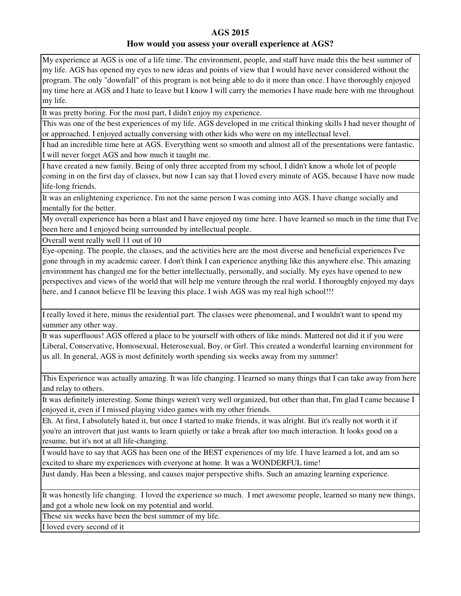My experience at AGS is one of a life time. The environment, people, and staff have made this the best summer of my life. AGS has opened my eyes to new ideas and points of view that I would have never considered without the program. The only "downfall" of this program is not being able to do it more than once. I have thoroughly enjoyed my time here at AGS and I hate to leave but I know I will carry the memories I have made here with me throughout my life.

It was pretty boring. For the most part, I didn't enjoy my experience.

This was one of the best experiences of my life. AGS developed in me critical thinking skills I had never thought of or approached. I enjoyed actually conversing with other kids who were on my intellectual level.

I had an incredible time here at AGS. Everything went so smooth and almost all of the presentations were fantastic. I will never forget AGS and how much it taught me.

I have created a new family. Being of only three accepted from my school, I didn't know a whole lot of people coming in on the first day of classes, but now I can say that I loved every minute of AGS, because I have now made life-long friends.

It was an enlightening experience. I'm not the same person I was coming into AGS. I have change socially and mentally for the better.

My overall experience has been a blast and I have enjoyed my time here. I have learned so much in the time that I've been here and I enjoyed being surrounded by intellectual people.

Overall went really well 11 out of 10

Eye-opening. The people, the classes, and the activities here are the most diverse and beneficial experiences I've gone through in my academic career. I don't think I can experience anything like this anywhere else. This amazing environment has changed me for the better intellectually, personally, and socially. My eyes have opened to new perspectives and views of the world that will help me venture through the real world. I thoroughly enjoyed my days here, and I cannot believe I'll be leaving this place. I wish AGS was my real high school!!!

I really loved it here, minus the residential part. The classes were phenomenal, and I wouldn't want to spend my summer any other way.

It was superfluous! AGS offered a place to be yourself with others of like minds. Mattered not did it if you were Liberal, Conservative, Homosexual, Heterosexual, Boy, or Girl. This created a wonderful learning environment for us all. In general, AGS is most definitely worth spending six weeks away from my summer!

This Experience was actually amazing. It was life changing. I learned so many things that I can take away from here and relay to others.

It was definitely interesting. Some things weren't very well organized, but other than that, I'm glad I came because I enjoyed it, even if I missed playing video games with my other friends.

Eh. At first, I absolutely hated it, but once I started to make friends, it was alright. But it's really not worth it if you're an introvert that just wants to learn quietly or take a break after too much interaction. It looks good on a resume, but it's not at all life-changing.

I would have to say that AGS has been one of the BEST experiences of my life. I have learned a lot, and am so excited to share my experiences with everyone at home. It was a WONDERFUL time!

Just dandy. Has been a blessing, and causes major perspective shifts. Such an amazing learning experience.

It was honestly life changing. I loved the experience so much. I met awesome people, learned so many new things, and got a whole new look on my potential and world.

These six weeks have been the best summer of my life.

I loved every second of it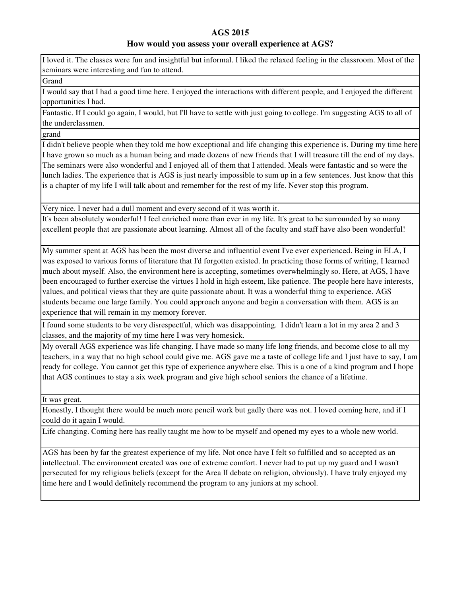# **How would you assess your overall experience at AGS?**

I loved it. The classes were fun and insightful but informal. I liked the relaxed feeling in the classroom. Most of the seminars were interesting and fun to attend.

**Grand** 

I would say that I had a good time here. I enjoyed the interactions with different people, and I enjoyed the different opportunities I had.

Fantastic. If I could go again, I would, but I'll have to settle with just going to college. I'm suggesting AGS to all of the underclassmen.

grand

I didn't believe people when they told me how exceptional and life changing this experience is. During my time here I have grown so much as a human being and made dozens of new friends that I will treasure till the end of my days. The seminars were also wonderful and I enjoyed all of them that I attended. Meals were fantastic and so were the lunch ladies. The experience that is AGS is just nearly impossible to sum up in a few sentences. Just know that this is a chapter of my life I will talk about and remember for the rest of my life. Never stop this program.

Very nice. I never had a dull moment and every second of it was worth it.

It's been absolutely wonderful! I feel enriched more than ever in my life. It's great to be surrounded by so many excellent people that are passionate about learning. Almost all of the faculty and staff have also been wonderful!

My summer spent at AGS has been the most diverse and influential event I've ever experienced. Being in ELA, I was exposed to various forms of literature that I'd forgotten existed. In practicing those forms of writing, I learned much about myself. Also, the environment here is accepting, sometimes overwhelmingly so. Here, at AGS, I have been encouraged to further exercise the virtues I hold in high esteem, like patience. The people here have interests, values, and political views that they are quite passionate about. It was a wonderful thing to experience. AGS students became one large family. You could approach anyone and begin a conversation with them. AGS is an experience that will remain in my memory forever.

I found some students to be very disrespectful, which was disappointing. I didn't learn a lot in my area 2 and 3 classes, and the majority of my time here I was very homesick.

My overall AGS experience was life changing. I have made so many life long friends, and become close to all my teachers, in a way that no high school could give me. AGS gave me a taste of college life and I just have to say, I am ready for college. You cannot get this type of experience anywhere else. This is a one of a kind program and I hope that AGS continues to stay a six week program and give high school seniors the chance of a lifetime.

It was great.

Honestly, I thought there would be much more pencil work but gadly there was not. I loved coming here, and if I could do it again I would.

Life changing. Coming here has really taught me how to be myself and opened my eyes to a whole new world.

AGS has been by far the greatest experience of my life. Not once have I felt so fulfilled and so accepted as an intellectual. The environment created was one of extreme comfort. I never had to put up my guard and I wasn't persecuted for my religious beliefs (except for the Area II debate on religion, obviously). I have truly enjoyed my time here and I would definitely recommend the program to any juniors at my school.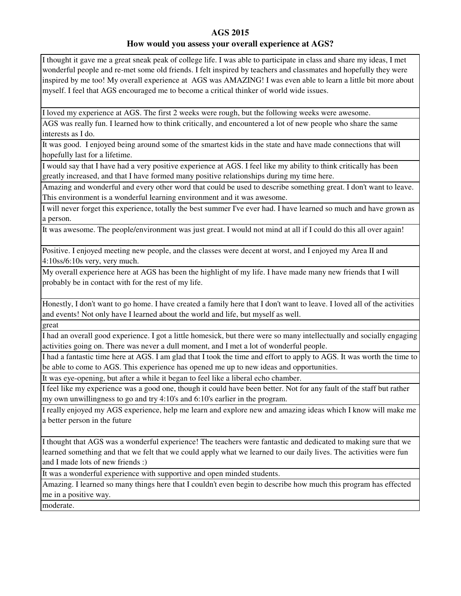I thought it gave me a great sneak peak of college life. I was able to participate in class and share my ideas, I met wonderful people and re-met some old friends. I felt inspired by teachers and classmates and hopefully they were inspired by me too! My overall experience at AGS was AMAZING! I was even able to learn a little bit more about myself. I feel that AGS encouraged me to become a critical thinker of world wide issues.

I loved my experience at AGS. The first 2 weeks were rough, but the following weeks were awesome.

AGS was really fun. I learned how to think critically, and encountered a lot of new people who share the same interests as I do.

It was good. I enjoyed being around some of the smartest kids in the state and have made connections that will hopefully last for a lifetime.

I would say that I have had a very positive experience at AGS. I feel like my ability to think critically has been greatly increased, and that I have formed many positive relationships during my time here.

Amazing and wonderful and every other word that could be used to describe something great. I don't want to leave. This environment is a wonderful learning environment and it was awesome.

I will never forget this experience, totally the best summer I've ever had. I have learned so much and have grown as a person.

It was awesome. The people/environment was just great. I would not mind at all if I could do this all over again!

Positive. I enjoyed meeting new people, and the classes were decent at worst, and I enjoyed my Area II and 4:10ss/6:10s very, very much.

My overall experience here at AGS has been the highlight of my life. I have made many new friends that I will probably be in contact with for the rest of my life.

Honestly, I don't want to go home. I have created a family here that I don't want to leave. I loved all of the activities and events! Not only have I learned about the world and life, but myself as well.

great

I had an overall good experience. I got a little homesick, but there were so many intellectually and socially engaging activities going on. There was never a dull moment, and I met a lot of wonderful people.

I had a fantastic time here at AGS. I am glad that I took the time and effort to apply to AGS. It was worth the time to be able to come to AGS. This experience has opened me up to new ideas and opportunities.

It was eye-opening, but after a while it began to feel like a liberal echo chamber.

I feel like my experience was a good one, though it could have been better. Not for any fault of the staff but rather my own unwillingness to go and try 4:10's and 6:10's earlier in the program.

I really enjoyed my AGS experience, help me learn and explore new and amazing ideas which I know will make me a better person in the future

I thought that AGS was a wonderful experience! The teachers were fantastic and dedicated to making sure that we learned something and that we felt that we could apply what we learned to our daily lives. The activities were fun and I made lots of new friends :)

It was a wonderful experience with supportive and open minded students.

Amazing. I learned so many things here that I couldn't even begin to describe how much this program has effected me in a positive way.

moderate.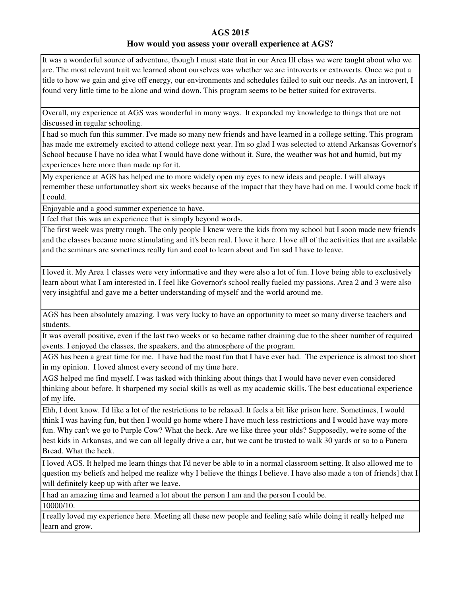It was a wonderful source of adventure, though I must state that in our Area III class we were taught about who we are. The most relevant trait we learned about ourselves was whether we are introverts or extroverts. Once we put a title to how we gain and give off energy, our environments and schedules failed to suit our needs. As an introvert, I found very little time to be alone and wind down. This program seems to be better suited for extroverts.

Overall, my experience at AGS was wonderful in many ways. It expanded my knowledge to things that are not discussed in regular schooling.

I had so much fun this summer. I've made so many new friends and have learned in a college setting. This program has made me extremely excited to attend college next year. I'm so glad I was selected to attend Arkansas Governor's School because I have no idea what I would have done without it. Sure, the weather was hot and humid, but my experiences here more than made up for it.

My experience at AGS has helped me to more widely open my eyes to new ideas and people. I will always remember these unfortunatley short six weeks because of the impact that they have had on me. I would come back if I could.

Enjoyable and a good summer experience to have.

I feel that this was an experience that is simply beyond words.

The first week was pretty rough. The only people I knew were the kids from my school but I soon made new friends and the classes became more stimulating and it's been real. I love it here. I love all of the activities that are available and the seminars are sometimes really fun and cool to learn about and I'm sad I have to leave.

I loved it. My Area 1 classes were very informative and they were also a lot of fun. I love being able to exclusively learn about what I am interested in. I feel like Governor's school really fueled my passions. Area 2 and 3 were also very insightful and gave me a better understanding of myself and the world around me.

AGS has been absolutely amazing. I was very lucky to have an opportunity to meet so many diverse teachers and students.

It was overall positive, even if the last two weeks or so became rather draining due to the sheer number of required events. I enjoyed the classes, the speakers, and the atmosphere of the program.

AGS has been a great time for me. I have had the most fun that I have ever had. The experience is almost too short in my opinion. I loved almost every second of my time here.

AGS helped me find myself. I was tasked with thinking about things that I would have never even considered thinking about before. It sharpened my social skills as well as my academic skills. The best educational experience of my life.

Ehh, I dont know. I'd like a lot of the restrictions to be relaxed. It feels a bit like prison here. Sometimes, I would think I was having fun, but then I would go home where I have much less restrictions and I would have way more fun. Why can't we go to Purple Cow? What the heck. Are we like three your olds? Supposedly, we're some of the best kids in Arkansas, and we can all legally drive a car, but we cant be trusted to walk 30 yards or so to a Panera Bread. What the heck.

I loved AGS. It helped me learn things that I'd never be able to in a normal classroom setting. It also allowed me to question my beliefs and helped me realize why I believe the things I believe. I have also made a ton of friends] that I will definitely keep up with after we leave.

I had an amazing time and learned a lot about the person I am and the person I could be.

10000/10.

I really loved my experience here. Meeting all these new people and feeling safe while doing it really helped me learn and grow.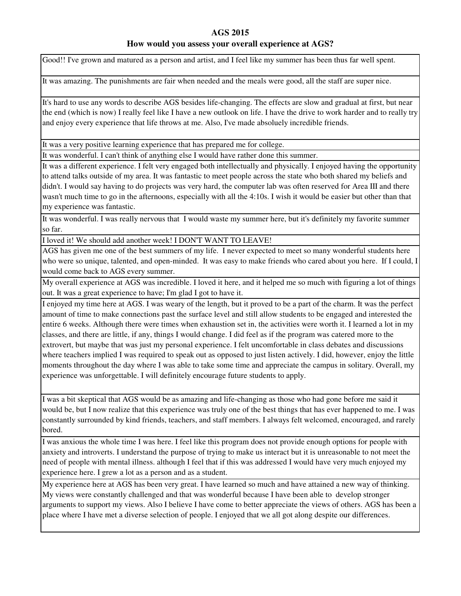### **How would you assess your overall experience at AGS?**

Good!! I've grown and matured as a person and artist, and I feel like my summer has been thus far well spent.

It was amazing. The punishments are fair when needed and the meals were good, all the staff are super nice.

It's hard to use any words to describe AGS besides life-changing. The effects are slow and gradual at first, but near the end (which is now) I really feel like I have a new outlook on life. I have the drive to work harder and to really try and enjoy every experience that life throws at me. Also, I've made absoluely incredible friends.

It was a very positive learning experience that has prepared me for college.

It was wonderful. I can't think of anything else I would have rather done this summer.

It was a different experience. I felt very engaged both intellectually and physically. I enjoyed having the opportunity to attend talks outside of my area. It was fantastic to meet people across the state who both shared my beliefs and didn't. I would say having to do projects was very hard, the computer lab was often reserved for Area III and there wasn't much time to go in the afternoons, especially with all the 4:10s. I wish it would be easier but other than that my experience was fantastic.

It was wonderful. I was really nervous that I would waste my summer here, but it's definitely my favorite summer so far.

I loved it! We should add another week! I DON'T WANT TO LEAVE!

AGS has given me one of the best summers of my life. I never expected to meet so many wonderful students here who were so unique, talented, and open-minded. It was easy to make friends who cared about you here. If I could, I would come back to AGS every summer.

My overall experience at AGS was incredible. I loved it here, and it helped me so much with figuring a lot of things out. It was a great experience to have; I'm glad I got to have it.

I enjoyed my time here at AGS. I was weary of the length, but it proved to be a part of the charm. It was the perfect amount of time to make connections past the surface level and still allow students to be engaged and interested the entire 6 weeks. Although there were times when exhaustion set in, the activities were worth it. I learned a lot in my classes, and there are little, if any, things I would change. I did feel as if the program was catered more to the extrovert, but maybe that was just my personal experience. I felt uncomfortable in class debates and discussions where teachers implied I was required to speak out as opposed to just listen actively. I did, however, enjoy the little moments throughout the day where I was able to take some time and appreciate the campus in solitary. Overall, my experience was unforgettable. I will definitely encourage future students to apply.

I was a bit skeptical that AGS would be as amazing and life-changing as those who had gone before me said it would be, but I now realize that this experience was truly one of the best things that has ever happened to me. I was constantly surrounded by kind friends, teachers, and staff members. I always felt welcomed, encouraged, and rarely bored.

I was anxious the whole time I was here. I feel like this program does not provide enough options for people with anxiety and introverts. I understand the purpose of trying to make us interact but it is unreasonable to not meet the need of people with mental illness. although I feel that if this was addressed I would have very much enjoyed my experience here. I grew a lot as a person and as a student.

My experience here at AGS has been very great. I have learned so much and have attained a new way of thinking. My views were constantly challenged and that was wonderful because I have been able to develop stronger arguments to support my views. Also I believe I have come to better appreciate the views of others. AGS has been a place where I have met a diverse selection of people. I enjoyed that we all got along despite our differences.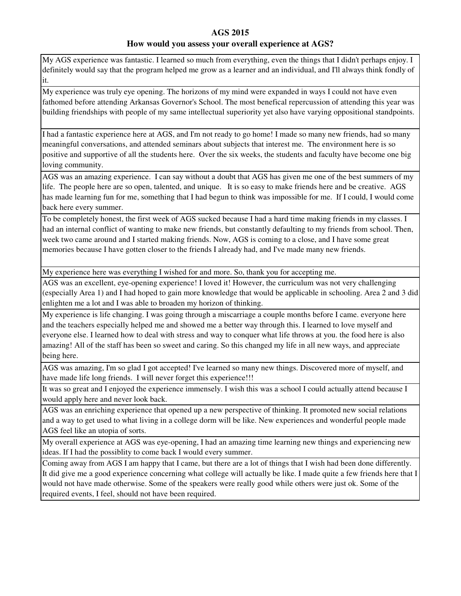#### **How would you assess your overall experience at AGS?**

My AGS experience was fantastic. I learned so much from everything, even the things that I didn't perhaps enjoy. I definitely would say that the program helped me grow as a learner and an individual, and I'll always think fondly of it.

My experience was truly eye opening. The horizons of my mind were expanded in ways I could not have even fathomed before attending Arkansas Governor's School. The most benefical repercussion of attending this year was building friendships with people of my same intellectual superiority yet also have varying oppositional standpoints.

I had a fantastic experience here at AGS, and I'm not ready to go home! I made so many new friends, had so many meaningful conversations, and attended seminars about subjects that interest me. The environment here is so positive and supportive of all the students here. Over the six weeks, the students and faculty have become one big loving community.

AGS was an amazing experience. I can say without a doubt that AGS has given me one of the best summers of my life. The people here are so open, talented, and unique. It is so easy to make friends here and be creative. AGS has made learning fun for me, something that I had begun to think was impossible for me. If I could, I would come back here every summer.

To be completely honest, the first week of AGS sucked because I had a hard time making friends in my classes. I had an internal conflict of wanting to make new friends, but constantly defaulting to my friends from school. Then, week two came around and I started making friends. Now, AGS is coming to a close, and I have some great memories because I have gotten closer to the friends I already had, and I've made many new friends.

My experience here was everything I wished for and more. So, thank you for accepting me.

AGS was an excellent, eye-opening experience! I loved it! However, the curriculum was not very challenging (especially Area 1) and I had hoped to gain more knowledge that would be applicable in schooling. Area 2 and 3 did enlighten me a lot and I was able to broaden my horizon of thinking.

My experience is life changing. I was going through a miscarriage a couple months before I came. everyone here and the teachers especially helped me and showed me a better way through this. I learned to love myself and everyone else. I learned how to deal with stress and way to conquer what life throws at you. the food here is also amazing! All of the staff has been so sweet and caring. So this changed my life in all new ways, and appreciate being here.

AGS was amazing, I'm so glad I got accepted! I've learned so many new things. Discovered more of myself, and have made life long friends. I will never forget this experience!!!

It was so great and I enjoyed the experience immensely. I wish this was a school I could actually attend because I would apply here and never look back.

AGS was an enriching experience that opened up a new perspective of thinking. It promoted new social relations and a way to get used to what living in a college dorm will be like. New experiences and wonderful people made AGS feel like an utopia of sorts.

My overall experience at AGS was eye-opening, I had an amazing time learning new things and experiencing new ideas. If I had the possiblity to come back I would every summer.

Coming away from AGS I am happy that I came, but there are a lot of things that I wish had been done differently. It did give me a good experience concerning what college will actually be like. I made quite a few friends here that I would not have made otherwise. Some of the speakers were really good while others were just ok. Some of the required events, I feel, should not have been required.